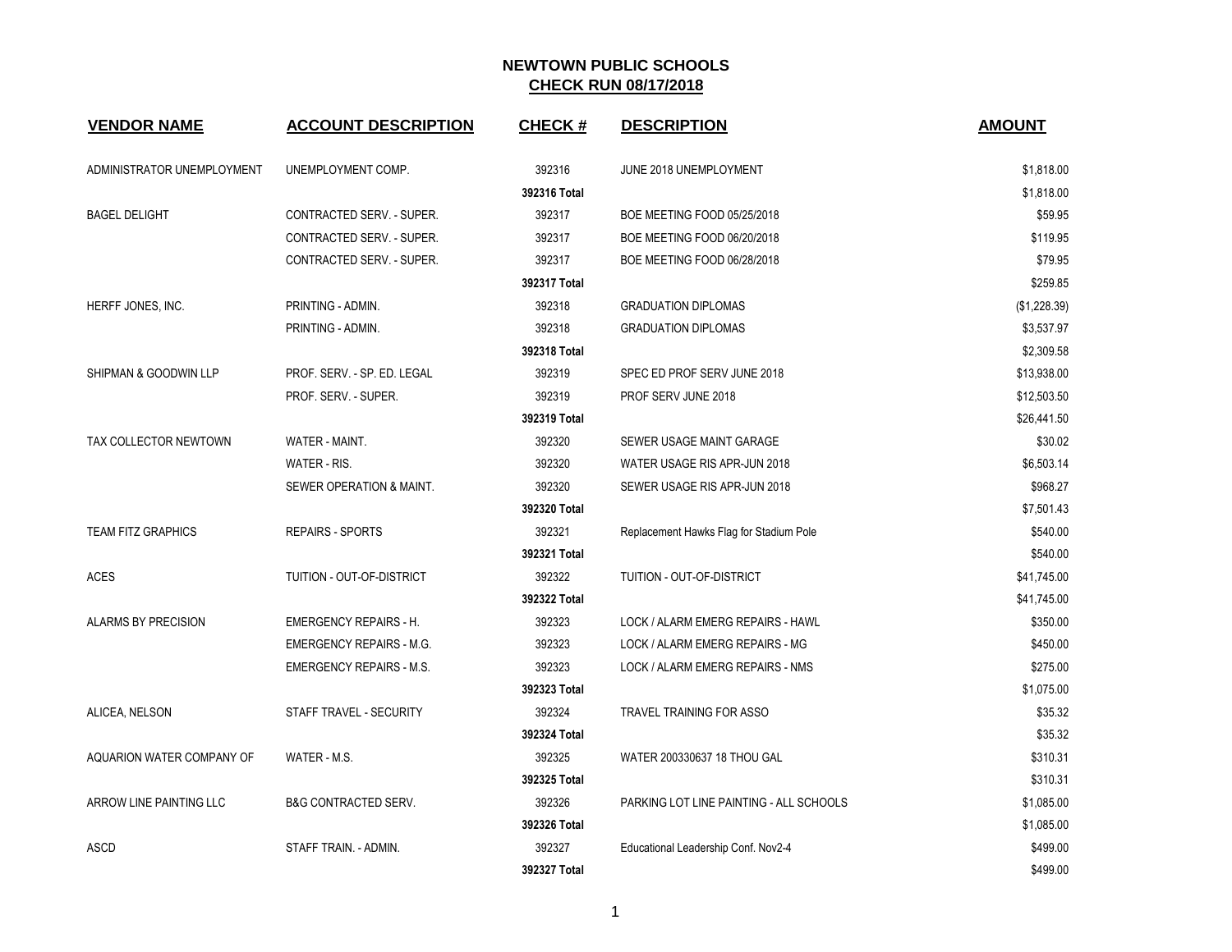| <b>VENDOR NAME</b>         | <b>ACCOUNT DESCRIPTION</b>      | <b>CHECK#</b> | <b>DESCRIPTION</b>                      | <b>AMOUNT</b> |
|----------------------------|---------------------------------|---------------|-----------------------------------------|---------------|
| ADMINISTRATOR UNEMPLOYMENT | UNEMPLOYMENT COMP.              | 392316        | JUNE 2018 UNEMPLOYMENT                  | \$1,818.00    |
|                            |                                 | 392316 Total  |                                         | \$1,818.00    |
| <b>BAGEL DELIGHT</b>       | CONTRACTED SERV. - SUPER.       | 392317        | BOE MEETING FOOD 05/25/2018             | \$59.95       |
|                            | CONTRACTED SERV. - SUPER.       | 392317        | BOE MEETING FOOD 06/20/2018             | \$119.95      |
|                            | CONTRACTED SERV. - SUPER.       | 392317        | BOE MEETING FOOD 06/28/2018             | \$79.95       |
|                            |                                 | 392317 Total  |                                         | \$259.85      |
| HERFF JONES, INC.          | PRINTING - ADMIN.               | 392318        | <b>GRADUATION DIPLOMAS</b>              | (\$1,228.39)  |
|                            | PRINTING - ADMIN.               | 392318        | <b>GRADUATION DIPLOMAS</b>              | \$3,537.97    |
|                            |                                 | 392318 Total  |                                         | \$2,309.58    |
| SHIPMAN & GOODWIN LLP      | PROF. SERV. - SP. ED. LEGAL     | 392319        | SPEC ED PROF SERV JUNE 2018             | \$13,938.00   |
|                            | PROF. SERV. - SUPER.            | 392319        | PROF SERV JUNE 2018                     | \$12,503.50   |
|                            |                                 | 392319 Total  |                                         | \$26,441.50   |
| TAX COLLECTOR NEWTOWN      | WATER - MAINT.                  | 392320        | SEWER USAGE MAINT GARAGE                | \$30.02       |
|                            | WATER - RIS.                    | 392320        | WATER USAGE RIS APR-JUN 2018            | \$6,503.14    |
|                            | SEWER OPERATION & MAINT.        | 392320        | SEWER USAGE RIS APR-JUN 2018            | \$968.27      |
|                            |                                 | 392320 Total  |                                         | \$7,501.43    |
| <b>TEAM FITZ GRAPHICS</b>  | <b>REPAIRS - SPORTS</b>         | 392321        | Replacement Hawks Flag for Stadium Pole | \$540.00      |
|                            |                                 | 392321 Total  |                                         | \$540.00      |
| <b>ACES</b>                | TUITION - OUT-OF-DISTRICT       | 392322        | TUITION - OUT-OF-DISTRICT               | \$41,745.00   |
|                            |                                 | 392322 Total  |                                         | \$41,745.00   |
| <b>ALARMS BY PRECISION</b> | <b>EMERGENCY REPAIRS - H.</b>   | 392323        | LOCK / ALARM EMERG REPAIRS - HAWL       | \$350.00      |
|                            | <b>EMERGENCY REPAIRS - M.G.</b> | 392323        | LOCK / ALARM EMERG REPAIRS - MG         | \$450.00      |
|                            | <b>EMERGENCY REPAIRS - M.S.</b> | 392323        | LOCK / ALARM EMERG REPAIRS - NMS        | \$275.00      |
|                            |                                 | 392323 Total  |                                         | \$1,075.00    |
| ALICEA, NELSON             | STAFF TRAVEL - SECURITY         | 392324        | TRAVEL TRAINING FOR ASSO                | \$35.32       |
|                            |                                 | 392324 Total  |                                         | \$35.32       |
| AQUARION WATER COMPANY OF  | WATER - M.S.                    | 392325        | WATER 200330637 18 THOU GAL             | \$310.31      |
|                            |                                 | 392325 Total  |                                         | \$310.31      |
| ARROW LINE PAINTING LLC    | <b>B&amp;G CONTRACTED SERV.</b> | 392326        | PARKING LOT LINE PAINTING - ALL SCHOOLS | \$1,085.00    |
|                            |                                 | 392326 Total  |                                         | \$1,085.00    |
| ASCD                       | STAFF TRAIN. - ADMIN.           | 392327        | Educational Leadership Conf. Nov2-4     | \$499.00      |
|                            |                                 | 392327 Total  |                                         | \$499.00      |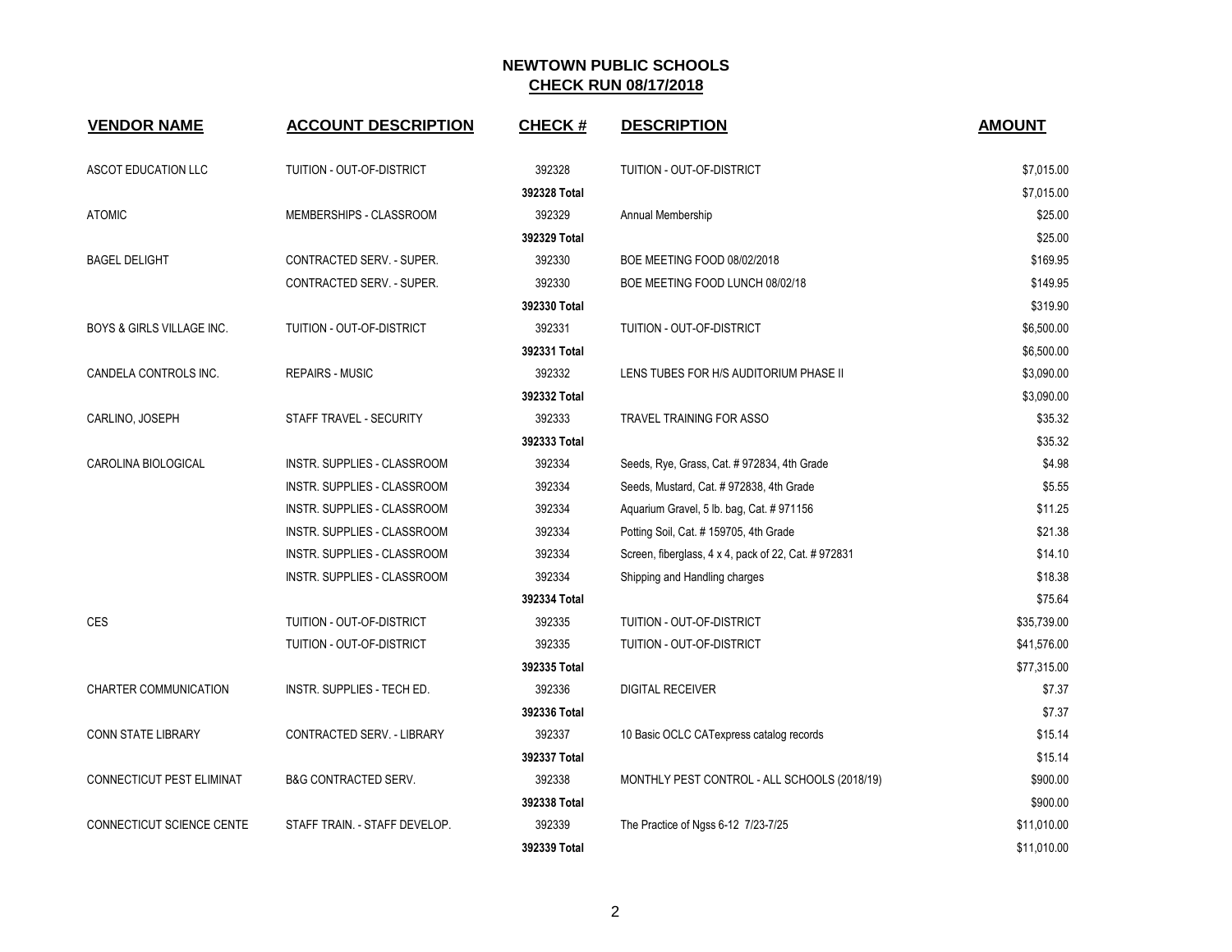| <b>VENDOR NAME</b>                   | <b>ACCOUNT DESCRIPTION</b>         | <b>CHECK#</b> | <b>DESCRIPTION</b>                                   | <b>AMOUNT</b> |
|--------------------------------------|------------------------------------|---------------|------------------------------------------------------|---------------|
| ASCOT EDUCATION LLC                  | TUITION - OUT-OF-DISTRICT          | 392328        | TUITION - OUT-OF-DISTRICT                            | \$7,015.00    |
|                                      |                                    | 392328 Total  |                                                      | \$7,015.00    |
| <b>ATOMIC</b>                        | MEMBERSHIPS - CLASSROOM            | 392329        | Annual Membership                                    | \$25.00       |
|                                      |                                    | 392329 Total  |                                                      | \$25.00       |
| <b>BAGEL DELIGHT</b>                 | CONTRACTED SERV. - SUPER.          | 392330        | BOE MEETING FOOD 08/02/2018                          | \$169.95      |
|                                      | CONTRACTED SERV. - SUPER.          | 392330        | BOE MEETING FOOD LUNCH 08/02/18                      | \$149.95      |
|                                      |                                    | 392330 Total  |                                                      | \$319.90      |
| <b>BOYS &amp; GIRLS VILLAGE INC.</b> | TUITION - OUT-OF-DISTRICT          | 392331        | TUITION - OUT-OF-DISTRICT                            | \$6,500.00    |
|                                      |                                    | 392331 Total  |                                                      | \$6,500.00    |
| CANDELA CONTROLS INC.                | <b>REPAIRS - MUSIC</b>             | 392332        | LENS TUBES FOR H/S AUDITORIUM PHASE II               | \$3,090.00    |
|                                      |                                    | 392332 Total  |                                                      | \$3,090.00    |
| CARLINO, JOSEPH                      | STAFF TRAVEL - SECURITY            | 392333        | <b>TRAVEL TRAINING FOR ASSO</b>                      | \$35.32       |
|                                      |                                    | 392333 Total  |                                                      | \$35.32       |
| CAROLINA BIOLOGICAL                  | INSTR. SUPPLIES - CLASSROOM        | 392334        | Seeds, Rye, Grass, Cat. # 972834, 4th Grade          | \$4.98        |
|                                      | INSTR. SUPPLIES - CLASSROOM        | 392334        | Seeds, Mustard, Cat. #972838, 4th Grade              | \$5.55        |
|                                      | INSTR. SUPPLIES - CLASSROOM        | 392334        | Aquarium Gravel, 5 lb. bag, Cat. #971156             | \$11.25       |
|                                      | <b>INSTR. SUPPLIES - CLASSROOM</b> | 392334        | Potting Soil, Cat. # 159705, 4th Grade               | \$21.38       |
|                                      | INSTR. SUPPLIES - CLASSROOM        | 392334        | Screen, fiberglass, 4 x 4, pack of 22, Cat. # 972831 | \$14.10       |
|                                      | INSTR. SUPPLIES - CLASSROOM        | 392334        | Shipping and Handling charges                        | \$18.38       |
|                                      |                                    | 392334 Total  |                                                      | \$75.64       |
| CES                                  | TUITION - OUT-OF-DISTRICT          | 392335        | TUITION - OUT-OF-DISTRICT                            | \$35,739.00   |
|                                      | TUITION - OUT-OF-DISTRICT          | 392335        | TUITION - OUT-OF-DISTRICT                            | \$41,576.00   |
|                                      |                                    | 392335 Total  |                                                      | \$77,315.00   |
| <b>CHARTER COMMUNICATION</b>         | INSTR. SUPPLIES - TECH ED.         | 392336        | <b>DIGITAL RECEIVER</b>                              | \$7.37        |
|                                      |                                    | 392336 Total  |                                                      | \$7.37        |
| <b>CONN STATE LIBRARY</b>            | CONTRACTED SERV. - LIBRARY         | 392337        | 10 Basic OCLC CATexpress catalog records             | \$15.14       |
|                                      |                                    | 392337 Total  |                                                      | \$15.14       |
| CONNECTICUT PEST ELIMINAT            | <b>B&amp;G CONTRACTED SERV.</b>    | 392338        | MONTHLY PEST CONTROL - ALL SCHOOLS (2018/19)         | \$900.00      |
|                                      |                                    | 392338 Total  |                                                      | \$900.00      |
| CONNECTICUT SCIENCE CENTE            | STAFF TRAIN. - STAFF DEVELOP.      | 392339        | The Practice of Ngss 6-12 7/23-7/25                  | \$11,010.00   |
|                                      |                                    | 392339 Total  |                                                      | \$11,010.00   |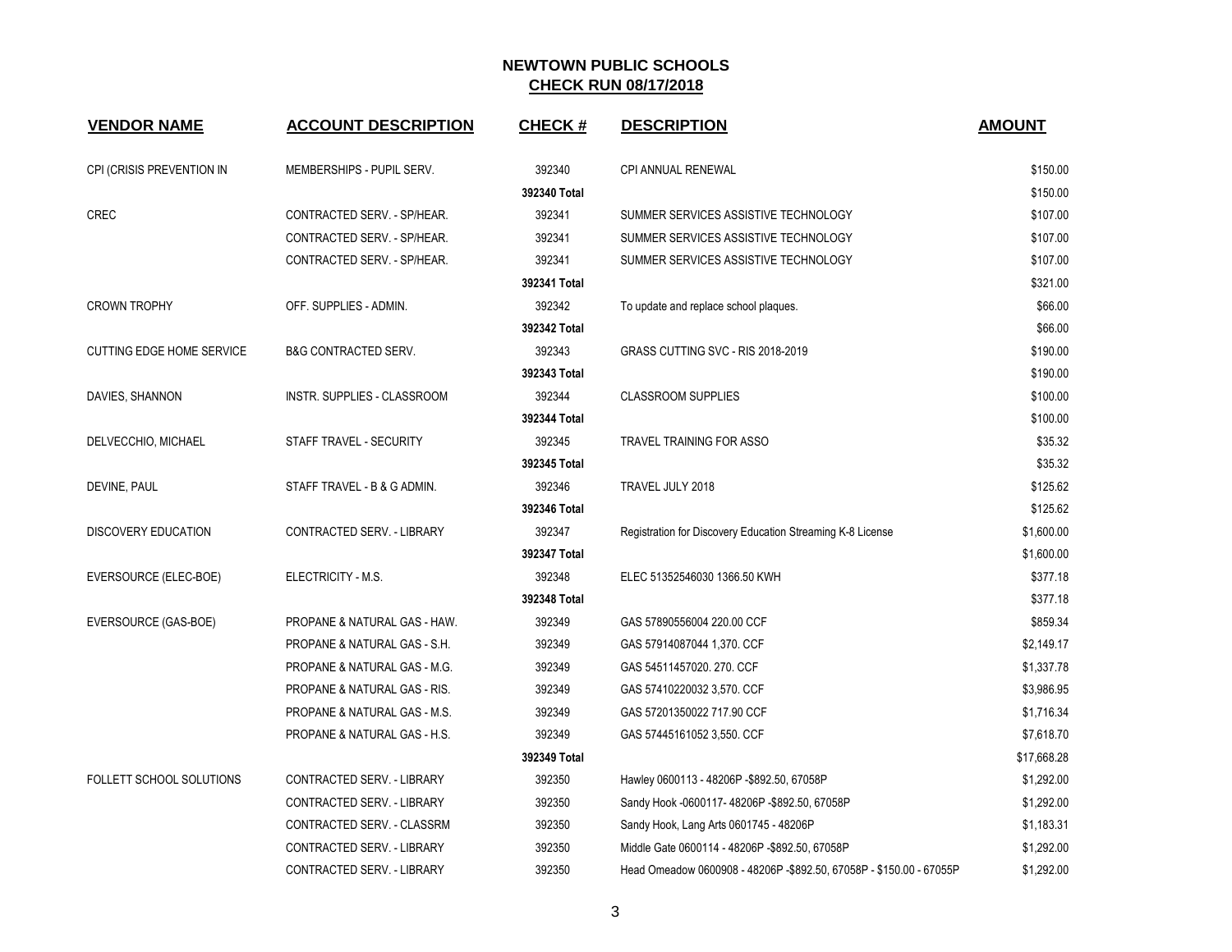| <b>VENDOR NAME</b>               | <b>ACCOUNT DESCRIPTION</b>      | <b>CHECK#</b> | <b>DESCRIPTION</b>                                                   | <b>AMOUNT</b> |
|----------------------------------|---------------------------------|---------------|----------------------------------------------------------------------|---------------|
|                                  |                                 |               |                                                                      |               |
| CPI (CRISIS PREVENTION IN        | MEMBERSHIPS - PUPIL SERV.       | 392340        | <b>CPI ANNUAL RENEWAL</b>                                            | \$150.00      |
|                                  |                                 | 392340 Total  |                                                                      | \$150.00      |
| <b>CREC</b>                      | CONTRACTED SERV. - SP/HEAR.     | 392341        | SUMMER SERVICES ASSISTIVE TECHNOLOGY                                 | \$107.00      |
|                                  | CONTRACTED SERV. - SP/HEAR.     | 392341        | SUMMER SERVICES ASSISTIVE TECHNOLOGY                                 | \$107.00      |
|                                  | CONTRACTED SERV. - SP/HEAR.     | 392341        | SUMMER SERVICES ASSISTIVE TECHNOLOGY                                 | \$107.00      |
|                                  |                                 | 392341 Total  |                                                                      | \$321.00      |
| <b>CROWN TROPHY</b>              | OFF. SUPPLIES - ADMIN.          | 392342        | To update and replace school plaques.                                | \$66.00       |
|                                  |                                 | 392342 Total  |                                                                      | \$66.00       |
| <b>CUTTING EDGE HOME SERVICE</b> | <b>B&amp;G CONTRACTED SERV.</b> | 392343        | GRASS CUTTING SVC - RIS 2018-2019                                    | \$190.00      |
|                                  |                                 | 392343 Total  |                                                                      | \$190.00      |
| DAVIES, SHANNON                  | INSTR. SUPPLIES - CLASSROOM     | 392344        | <b>CLASSROOM SUPPLIES</b>                                            | \$100.00      |
|                                  |                                 | 392344 Total  |                                                                      | \$100.00      |
| DELVECCHIO, MICHAEL              | STAFF TRAVEL - SECURITY         | 392345        | TRAVEL TRAINING FOR ASSO                                             | \$35.32       |
|                                  |                                 | 392345 Total  |                                                                      | \$35.32       |
| DEVINE, PAUL                     | STAFF TRAVEL - B & G ADMIN.     | 392346        | TRAVEL JULY 2018                                                     | \$125.62      |
|                                  |                                 | 392346 Total  |                                                                      | \$125.62      |
| <b>DISCOVERY EDUCATION</b>       | CONTRACTED SERV. - LIBRARY      | 392347        | Registration for Discovery Education Streaming K-8 License           | \$1,600.00    |
|                                  |                                 | 392347 Total  |                                                                      | \$1,600.00    |
| EVERSOURCE (ELEC-BOE)            | ELECTRICITY - M.S.              | 392348        | ELEC 51352546030 1366.50 KWH                                         | \$377.18      |
|                                  |                                 | 392348 Total  |                                                                      | \$377.18      |
| EVERSOURCE (GAS-BOE)             | PROPANE & NATURAL GAS - HAW.    | 392349        | GAS 57890556004 220.00 CCF                                           | \$859.34      |
|                                  | PROPANE & NATURAL GAS - S.H.    | 392349        | GAS 57914087044 1,370. CCF                                           | \$2,149.17    |
|                                  | PROPANE & NATURAL GAS - M.G.    | 392349        | GAS 54511457020, 270, CCF                                            | \$1,337.78    |
|                                  | PROPANE & NATURAL GAS - RIS.    | 392349        | GAS 57410220032 3,570. CCF                                           | \$3,986.95    |
|                                  | PROPANE & NATURAL GAS - M.S.    | 392349        | GAS 57201350022 717.90 CCF                                           | \$1,716.34    |
|                                  | PROPANE & NATURAL GAS - H.S.    | 392349        | GAS 57445161052 3,550. CCF                                           | \$7,618.70    |
|                                  |                                 | 392349 Total  |                                                                      | \$17,668.28   |
| FOLLETT SCHOOL SOLUTIONS         | CONTRACTED SERV. - LIBRARY      | 392350        | Hawley 0600113 - 48206P - \$892.50, 67058P                           | \$1,292.00    |
|                                  | CONTRACTED SERV. - LIBRARY      | 392350        | Sandy Hook -0600117-48206P -\$892.50, 67058P                         | \$1,292.00    |
|                                  | CONTRACTED SERV. - CLASSRM      | 392350        | Sandy Hook, Lang Arts 0601745 - 48206P                               | \$1,183.31    |
|                                  | CONTRACTED SERV. - LIBRARY      | 392350        | Middle Gate 0600114 - 48206P -\$892.50, 67058P                       | \$1,292.00    |
|                                  | CONTRACTED SERV. - LIBRARY      | 392350        | Head Omeadow 0600908 - 48206P - \$892.50, 67058P - \$150.00 - 67055P | \$1,292.00    |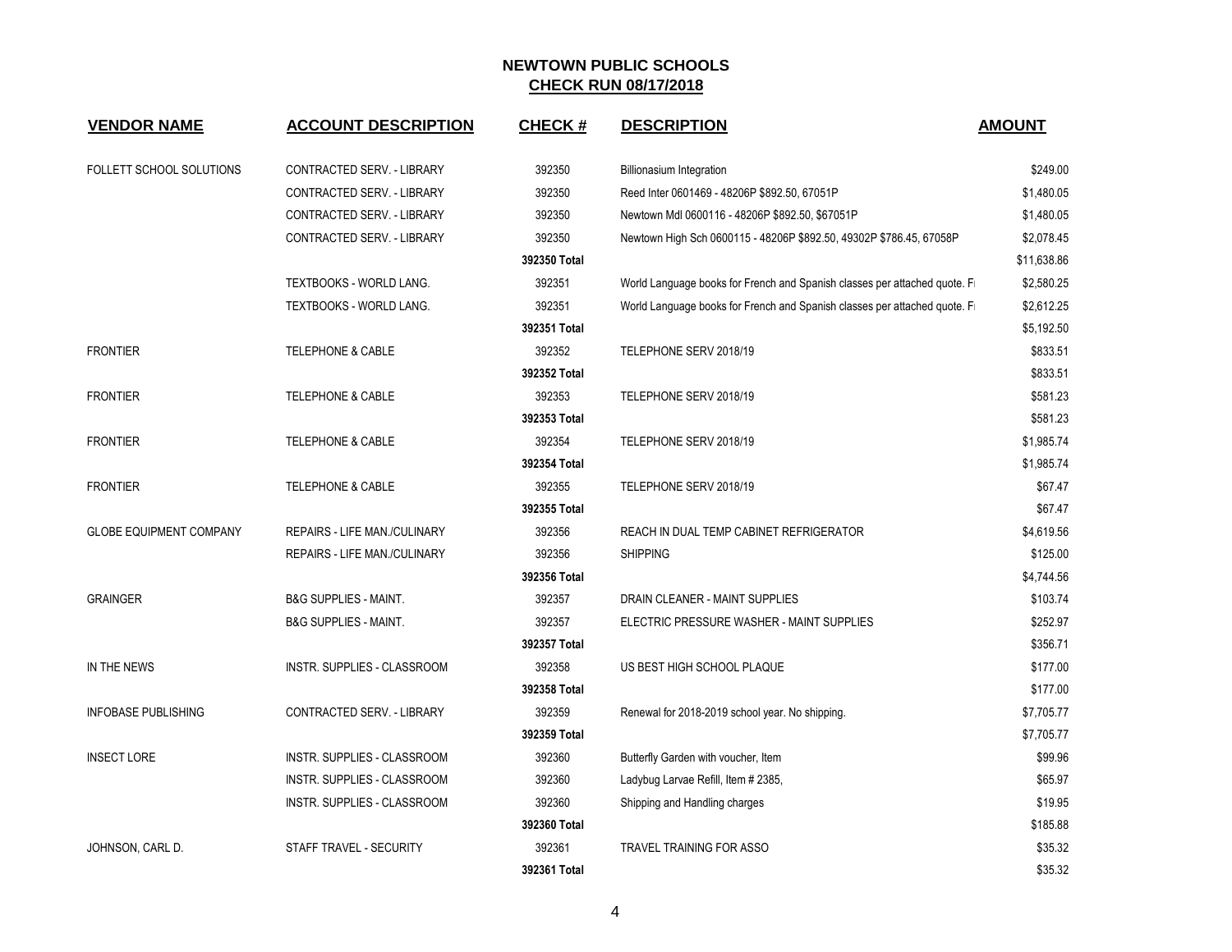| <b>VENDOR NAME</b>             | <b>ACCOUNT DESCRIPTION</b>          | <b>CHECK#</b> | <b>DESCRIPTION</b>                                                        | <b>AMOUNT</b> |
|--------------------------------|-------------------------------------|---------------|---------------------------------------------------------------------------|---------------|
| FOLLETT SCHOOL SOLUTIONS       | CONTRACTED SERV. - LIBRARY          | 392350        | <b>Billionasium Integration</b>                                           | \$249.00      |
|                                | CONTRACTED SERV. - LIBRARY          | 392350        | Reed Inter 0601469 - 48206P \$892.50, 67051P                              | \$1,480.05    |
|                                | CONTRACTED SERV. - LIBRARY          | 392350        | Newtown Mdl 0600116 - 48206P \$892.50, \$67051P                           | \$1,480.05    |
|                                | CONTRACTED SERV. - LIBRARY          | 392350        | Newtown High Sch 0600115 - 48206P \$892.50, 49302P \$786.45, 67058P       | \$2,078.45    |
|                                |                                     | 392350 Total  |                                                                           | \$11,638.86   |
|                                | TEXTBOOKS - WORLD LANG.             | 392351        | World Language books for French and Spanish classes per attached quote. F | \$2,580.25    |
|                                | <b>TEXTBOOKS - WORLD LANG.</b>      | 392351        | World Language books for French and Spanish classes per attached quote. F | \$2,612.25    |
|                                |                                     | 392351 Total  |                                                                           | \$5,192.50    |
| <b>FRONTIER</b>                | <b>TELEPHONE &amp; CABLE</b>        | 392352        | TELEPHONE SERV 2018/19                                                    | \$833.51      |
|                                |                                     | 392352 Total  |                                                                           | \$833.51      |
| <b>FRONTIER</b>                | <b>TELEPHONE &amp; CABLE</b>        | 392353        | TELEPHONE SERV 2018/19                                                    | \$581.23      |
|                                |                                     | 392353 Total  |                                                                           | \$581.23      |
| <b>FRONTIER</b>                | <b>TELEPHONE &amp; CABLE</b>        | 392354        | TELEPHONE SERV 2018/19                                                    | \$1,985.74    |
|                                |                                     | 392354 Total  |                                                                           | \$1,985.74    |
| <b>FRONTIER</b>                | <b>TELEPHONE &amp; CABLE</b>        | 392355        | TELEPHONE SERV 2018/19                                                    | \$67.47       |
|                                |                                     | 392355 Total  |                                                                           | \$67.47       |
| <b>GLOBE EQUIPMENT COMPANY</b> | <b>REPAIRS - LIFE MAN./CULINARY</b> | 392356        | REACH IN DUAL TEMP CABINET REFRIGERATOR                                   | \$4,619.56    |
|                                | <b>REPAIRS - LIFE MAN./CULINARY</b> | 392356        | <b>SHIPPING</b>                                                           | \$125.00      |
|                                |                                     | 392356 Total  |                                                                           | \$4,744.56    |
| <b>GRAINGER</b>                | <b>B&amp;G SUPPLIES - MAINT.</b>    | 392357        | DRAIN CLEANER - MAINT SUPPLIES                                            | \$103.74      |
|                                | <b>B&amp;G SUPPLIES - MAINT.</b>    | 392357        | ELECTRIC PRESSURE WASHER - MAINT SUPPLIES                                 | \$252.97      |
|                                |                                     | 392357 Total  |                                                                           | \$356.71      |
| IN THE NEWS                    | INSTR. SUPPLIES - CLASSROOM         | 392358        | US BEST HIGH SCHOOL PLAQUE                                                | \$177.00      |
|                                |                                     | 392358 Total  |                                                                           | \$177.00      |
| <b>INFOBASE PUBLISHING</b>     | CONTRACTED SERV. - LIBRARY          | 392359        | Renewal for 2018-2019 school year. No shipping.                           | \$7,705.77    |
|                                |                                     | 392359 Total  |                                                                           | \$7,705.77    |
| <b>INSECT LORE</b>             | INSTR. SUPPLIES - CLASSROOM         | 392360        | Butterfly Garden with voucher, Item                                       | \$99.96       |
|                                | INSTR. SUPPLIES - CLASSROOM         | 392360        | Ladybug Larvae Refill, Item # 2385,                                       | \$65.97       |
|                                | <b>INSTR. SUPPLIES - CLASSROOM</b>  | 392360        | Shipping and Handling charges                                             | \$19.95       |
|                                |                                     | 392360 Total  |                                                                           | \$185.88      |
| JOHNSON, CARL D.               | STAFF TRAVEL - SECURITY             | 392361        | <b>TRAVEL TRAINING FOR ASSO</b>                                           | \$35.32       |
|                                |                                     | 392361 Total  |                                                                           | \$35.32       |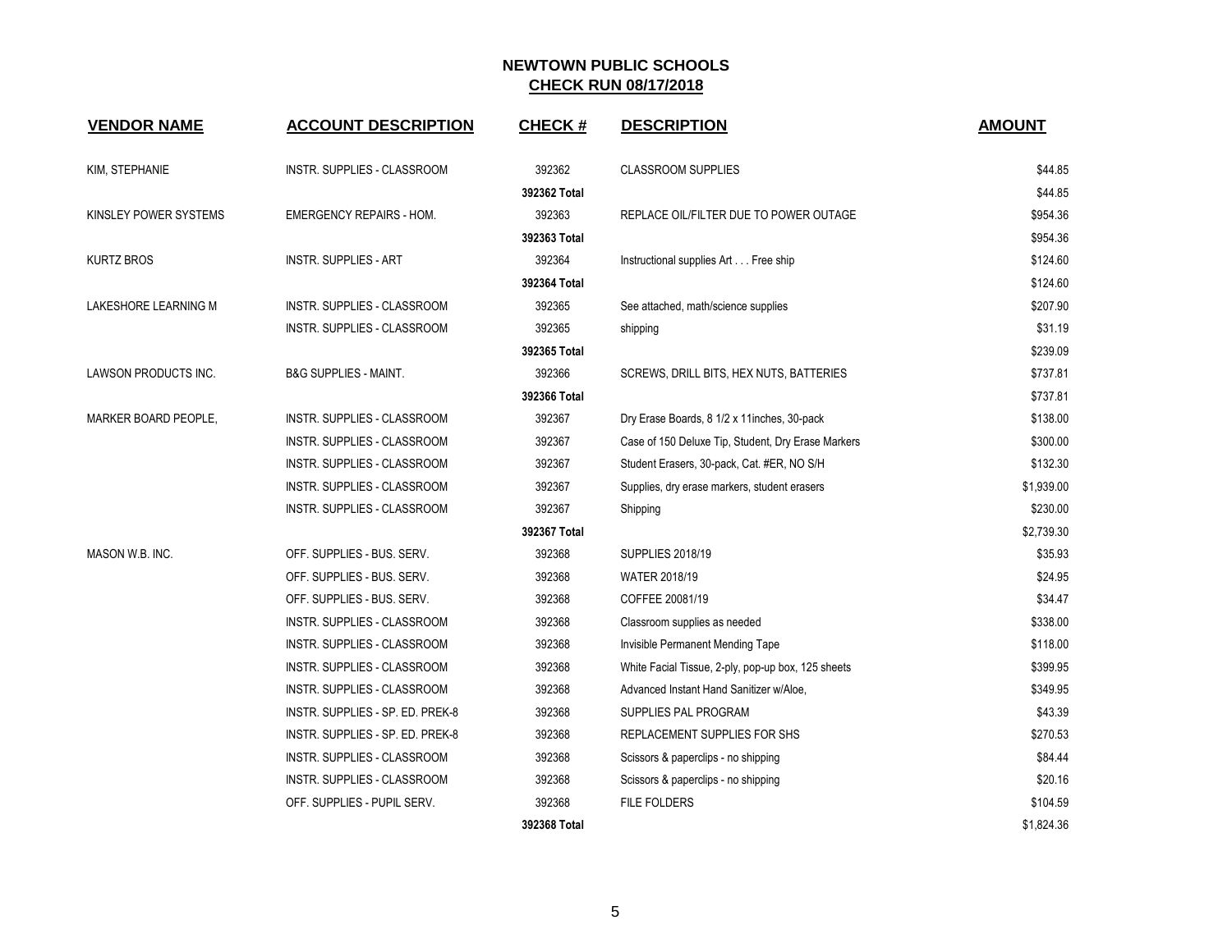| <b>VENDOR NAME</b>    | <b>ACCOUNT DESCRIPTION</b>         | <b>CHECK#</b> | <b>DESCRIPTION</b>                                 | <b>AMOUNT</b> |
|-----------------------|------------------------------------|---------------|----------------------------------------------------|---------------|
| KIM, STEPHANIE        | INSTR. SUPPLIES - CLASSROOM        | 392362        | <b>CLASSROOM SUPPLIES</b>                          | \$44.85       |
|                       |                                    | 392362 Total  |                                                    | \$44.85       |
| KINSLEY POWER SYSTEMS | <b>EMERGENCY REPAIRS - HOM.</b>    | 392363        | REPLACE OIL/FILTER DUE TO POWER OUTAGE             | \$954.36      |
|                       |                                    | 392363 Total  |                                                    | \$954.36      |
| <b>KURTZ BROS</b>     | <b>INSTR. SUPPLIES - ART</b>       | 392364        | Instructional supplies Art Free ship               | \$124.60      |
|                       |                                    | 392364 Total  |                                                    | \$124.60      |
| LAKESHORE LEARNING M  | INSTR. SUPPLIES - CLASSROOM        | 392365        | See attached, math/science supplies                | \$207.90      |
|                       | INSTR. SUPPLIES - CLASSROOM        | 392365        | shipping                                           | \$31.19       |
|                       |                                    | 392365 Total  |                                                    | \$239.09      |
| LAWSON PRODUCTS INC.  | <b>B&amp;G SUPPLIES - MAINT.</b>   | 392366        | SCREWS, DRILL BITS, HEX NUTS, BATTERIES            | \$737.81      |
|                       |                                    | 392366 Total  |                                                    | \$737.81      |
| MARKER BOARD PEOPLE,  | INSTR. SUPPLIES - CLASSROOM        | 392367        | Dry Erase Boards, 8 1/2 x 11inches, 30-pack        | \$138.00      |
|                       | INSTR. SUPPLIES - CLASSROOM        | 392367        | Case of 150 Deluxe Tip, Student, Dry Erase Markers | \$300.00      |
|                       | INSTR. SUPPLIES - CLASSROOM        | 392367        | Student Erasers, 30-pack, Cat. #ER, NO S/H         | \$132.30      |
|                       | INSTR. SUPPLIES - CLASSROOM        | 392367        | Supplies, dry erase markers, student erasers       | \$1,939.00    |
|                       | INSTR. SUPPLIES - CLASSROOM        | 392367        | Shipping                                           | \$230.00      |
|                       |                                    | 392367 Total  |                                                    | \$2,739.30    |
| MASON W.B. INC.       | OFF. SUPPLIES - BUS. SERV.         | 392368        | <b>SUPPLIES 2018/19</b>                            | \$35.93       |
|                       | OFF. SUPPLIES - BUS. SERV.         | 392368        | WATER 2018/19                                      | \$24.95       |
|                       | OFF. SUPPLIES - BUS. SERV.         | 392368        | COFFEE 20081/19                                    | \$34.47       |
|                       | INSTR. SUPPLIES - CLASSROOM        | 392368        | Classroom supplies as needed                       | \$338.00      |
|                       | INSTR. SUPPLIES - CLASSROOM        | 392368        | Invisible Permanent Mending Tape                   | \$118.00      |
|                       | <b>INSTR. SUPPLIES - CLASSROOM</b> | 392368        | White Facial Tissue, 2-ply, pop-up box, 125 sheets | \$399.95      |
|                       | INSTR. SUPPLIES - CLASSROOM        | 392368        | Advanced Instant Hand Sanitizer w/Aloe,            | \$349.95      |
|                       | INSTR. SUPPLIES - SP. ED. PREK-8   | 392368        | SUPPLIES PAL PROGRAM                               | \$43.39       |
|                       | INSTR. SUPPLIES - SP. ED. PREK-8   | 392368        | REPLACEMENT SUPPLIES FOR SHS                       | \$270.53      |
|                       | INSTR. SUPPLIES - CLASSROOM        | 392368        | Scissors & paperclips - no shipping                | \$84.44       |
|                       | INSTR. SUPPLIES - CLASSROOM        | 392368        | Scissors & paperclips - no shipping                | \$20.16       |
|                       | OFF. SUPPLIES - PUPIL SERV.        | 392368        | <b>FILE FOLDERS</b>                                | \$104.59      |
|                       |                                    | 392368 Total  |                                                    | \$1,824.36    |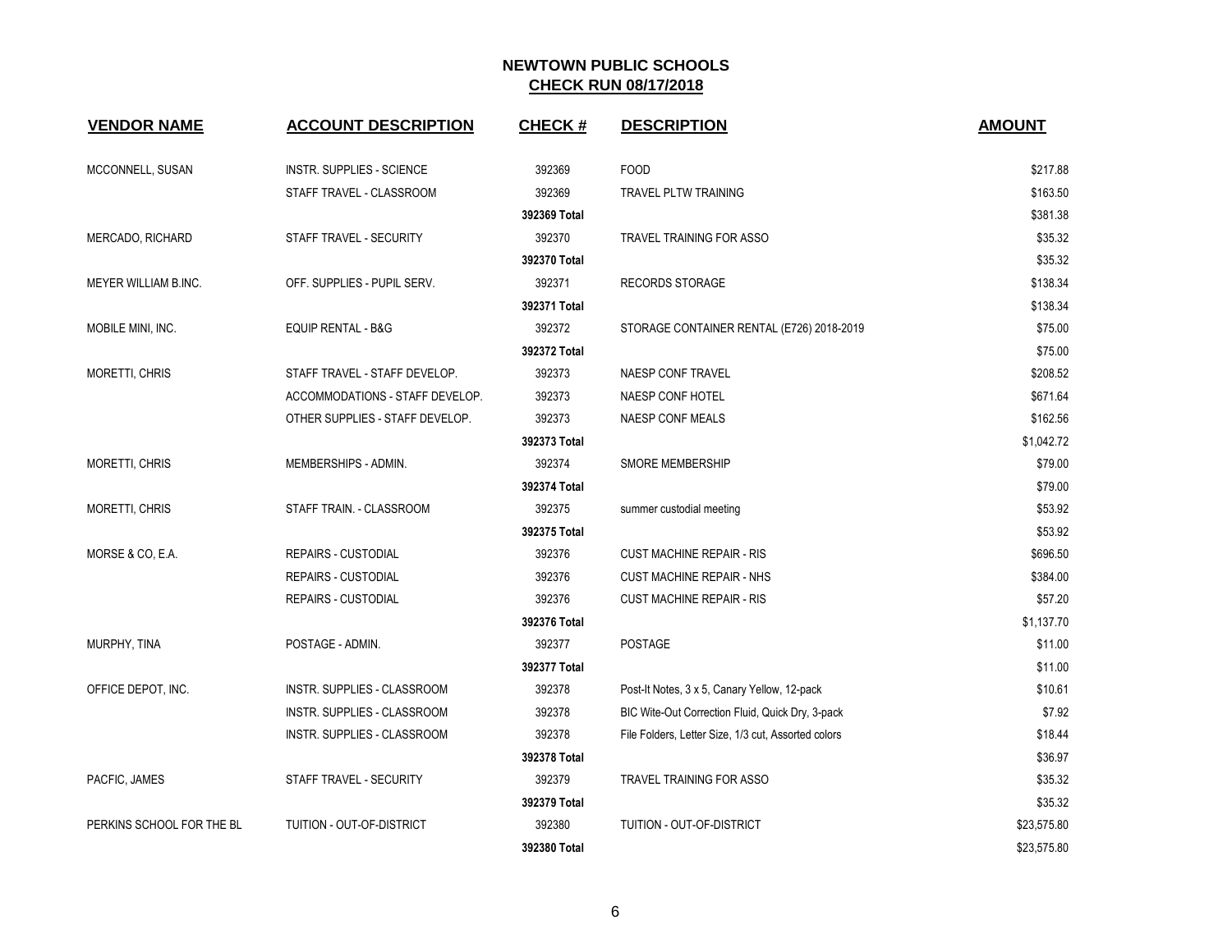| <b>VENDOR NAME</b>        | <b>ACCOUNT DESCRIPTION</b>      | <b>CHECK#</b> | <b>DESCRIPTION</b>                                  | <b>AMOUNT</b> |
|---------------------------|---------------------------------|---------------|-----------------------------------------------------|---------------|
|                           |                                 |               |                                                     |               |
| MCCONNELL, SUSAN          | INSTR. SUPPLIES - SCIENCE       | 392369        | <b>FOOD</b>                                         | \$217.88      |
|                           | STAFF TRAVEL - CLASSROOM        | 392369        | <b>TRAVEL PLTW TRAINING</b>                         | \$163.50      |
|                           |                                 | 392369 Total  |                                                     | \$381.38      |
| MERCADO, RICHARD          | STAFF TRAVEL - SECURITY         | 392370        | <b>TRAVEL TRAINING FOR ASSO</b>                     | \$35.32       |
|                           |                                 | 392370 Total  |                                                     | \$35.32       |
| MEYER WILLIAM B.INC.      | OFF. SUPPLIES - PUPIL SERV.     | 392371        | <b>RECORDS STORAGE</b>                              | \$138.34      |
|                           |                                 | 392371 Total  |                                                     | \$138.34      |
| MOBILE MINI, INC.         | <b>EQUIP RENTAL - B&amp;G</b>   | 392372        | STORAGE CONTAINER RENTAL (E726) 2018-2019           | \$75.00       |
|                           |                                 | 392372 Total  |                                                     | \$75.00       |
| MORETTI, CHRIS            | STAFF TRAVEL - STAFF DEVELOP.   | 392373        | <b>NAESP CONF TRAVEL</b>                            | \$208.52      |
|                           | ACCOMMODATIONS - STAFF DEVELOP. | 392373        | NAESP CONF HOTEL                                    | \$671.64      |
|                           | OTHER SUPPLIES - STAFF DEVELOP. | 392373        | <b>NAESP CONF MEALS</b>                             | \$162.56      |
|                           |                                 | 392373 Total  |                                                     | \$1,042.72    |
| MORETTI, CHRIS            | MEMBERSHIPS - ADMIN.            | 392374        | <b>SMORE MEMBERSHIP</b>                             | \$79.00       |
|                           |                                 | 392374 Total  |                                                     | \$79.00       |
| MORETTI, CHRIS            | STAFF TRAIN. - CLASSROOM        | 392375        | summer custodial meeting                            | \$53.92       |
|                           |                                 | 392375 Total  |                                                     | \$53.92       |
| MORSE & CO, E.A.          | <b>REPAIRS - CUSTODIAL</b>      | 392376        | <b>CUST MACHINE REPAIR - RIS</b>                    | \$696.50      |
|                           | <b>REPAIRS - CUSTODIAL</b>      | 392376        | <b>CUST MACHINE REPAIR - NHS</b>                    | \$384.00      |
|                           | <b>REPAIRS - CUSTODIAL</b>      | 392376        | <b>CUST MACHINE REPAIR - RIS</b>                    | \$57.20       |
|                           |                                 | 392376 Total  |                                                     | \$1,137.70    |
| MURPHY, TINA              | POSTAGE - ADMIN.                | 392377        | POSTAGE                                             | \$11.00       |
|                           |                                 | 392377 Total  |                                                     | \$11.00       |
| OFFICE DEPOT, INC.        | INSTR. SUPPLIES - CLASSROOM     | 392378        | Post-It Notes, 3 x 5, Canary Yellow, 12-pack        | \$10.61       |
|                           | INSTR. SUPPLIES - CLASSROOM     | 392378        | BIC Wite-Out Correction Fluid, Quick Dry, 3-pack    | \$7.92        |
|                           | INSTR. SUPPLIES - CLASSROOM     | 392378        | File Folders, Letter Size, 1/3 cut, Assorted colors | \$18.44       |
|                           |                                 | 392378 Total  |                                                     | \$36.97       |
| PACFIC, JAMES             | STAFF TRAVEL - SECURITY         | 392379        | TRAVEL TRAINING FOR ASSO                            | \$35.32       |
|                           |                                 | 392379 Total  |                                                     | \$35.32       |
| PERKINS SCHOOL FOR THE BL | TUITION - OUT-OF-DISTRICT       | 392380        | TUITION - OUT-OF-DISTRICT                           | \$23,575.80   |
|                           |                                 | 392380 Total  |                                                     | \$23,575.80   |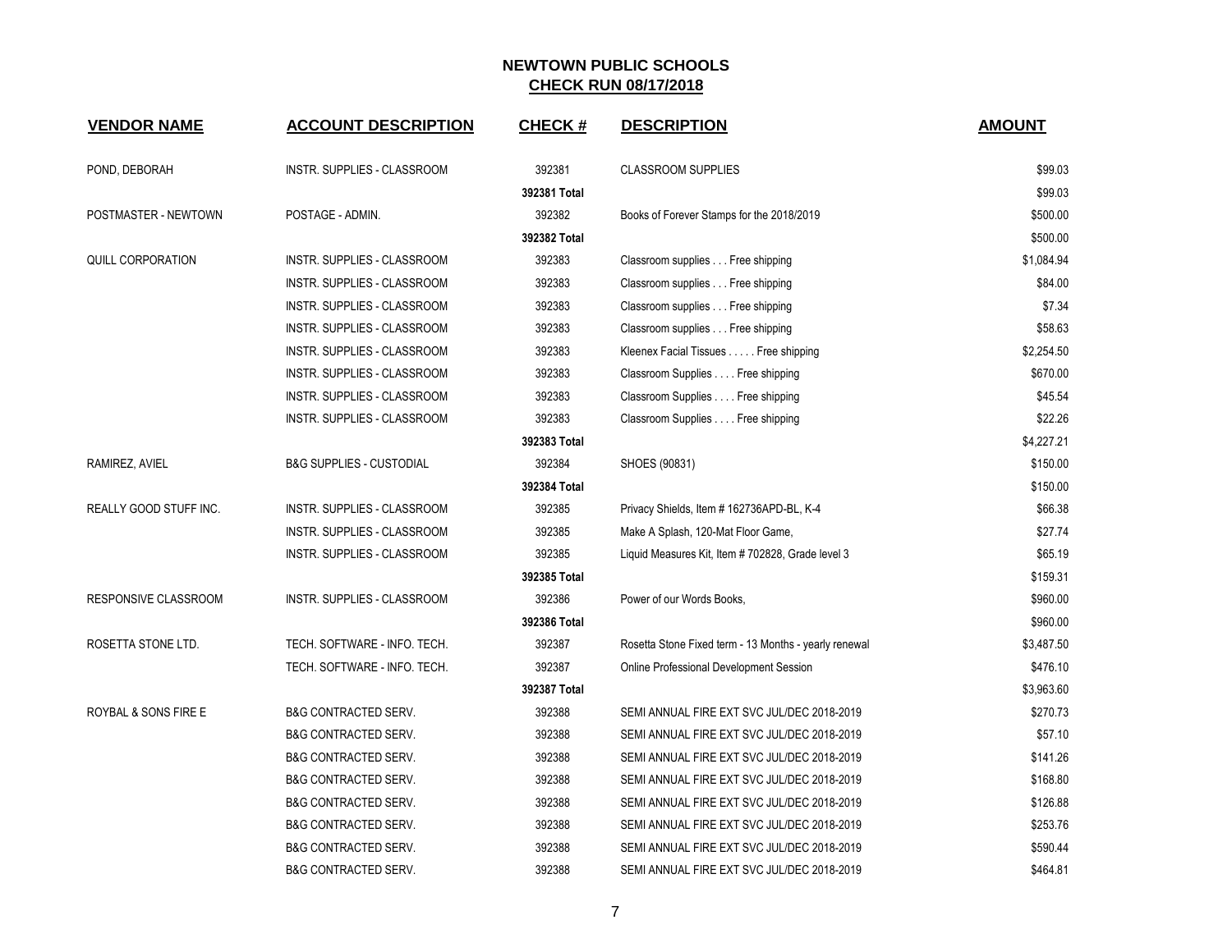| <b>VENDOR NAME</b>              | <b>ACCOUNT DESCRIPTION</b>          | <b>CHECK#</b> | <b>DESCRIPTION</b>                                    | <b>AMOUNT</b> |
|---------------------------------|-------------------------------------|---------------|-------------------------------------------------------|---------------|
| POND, DEBORAH                   | INSTR. SUPPLIES - CLASSROOM         | 392381        | <b>CLASSROOM SUPPLIES</b>                             | \$99.03       |
|                                 |                                     | 392381 Total  |                                                       | \$99.03       |
| POSTMASTER - NEWTOWN            | POSTAGE - ADMIN.                    | 392382        | Books of Forever Stamps for the 2018/2019             | \$500.00      |
|                                 |                                     | 392382 Total  |                                                       | \$500.00      |
| QUILL CORPORATION               | INSTR. SUPPLIES - CLASSROOM         | 392383        | Classroom supplies Free shipping                      | \$1,084.94    |
|                                 | INSTR. SUPPLIES - CLASSROOM         | 392383        | Classroom supplies Free shipping                      | \$84.00       |
|                                 | INSTR. SUPPLIES - CLASSROOM         | 392383        | Classroom supplies Free shipping                      | \$7.34        |
|                                 | INSTR. SUPPLIES - CLASSROOM         | 392383        | Classroom supplies Free shipping                      | \$58.63       |
|                                 | <b>INSTR. SUPPLIES - CLASSROOM</b>  | 392383        | Kleenex Facial Tissues Free shipping                  | \$2,254.50    |
|                                 | INSTR. SUPPLIES - CLASSROOM         | 392383        | Classroom Supplies Free shipping                      | \$670.00      |
|                                 | INSTR. SUPPLIES - CLASSROOM         | 392383        | Classroom Supplies Free shipping                      | \$45.54       |
|                                 | INSTR. SUPPLIES - CLASSROOM         | 392383        | Classroom Supplies Free shipping                      | \$22.26       |
|                                 |                                     | 392383 Total  |                                                       | \$4,227.21    |
| RAMIREZ, AVIEL                  | <b>B&amp;G SUPPLIES - CUSTODIAL</b> | 392384        | SHOES (90831)                                         | \$150.00      |
|                                 |                                     | 392384 Total  |                                                       | \$150.00      |
| <b>REALLY GOOD STUFF INC.</b>   | INSTR. SUPPLIES - CLASSROOM         | 392385        | Privacy Shields, Item #162736APD-BL, K-4              | \$66.38       |
|                                 | INSTR. SUPPLIES - CLASSROOM         | 392385        | Make A Splash, 120-Mat Floor Game,                    | \$27.74       |
|                                 | INSTR. SUPPLIES - CLASSROOM         | 392385        | Liquid Measures Kit, Item # 702828, Grade level 3     | \$65.19       |
|                                 |                                     | 392385 Total  |                                                       | \$159.31      |
| RESPONSIVE CLASSROOM            | INSTR. SUPPLIES - CLASSROOM         | 392386        | Power of our Words Books,                             | \$960.00      |
|                                 |                                     | 392386 Total  |                                                       | \$960.00      |
| ROSETTA STONE LTD.              | TECH. SOFTWARE - INFO. TECH.        | 392387        | Rosetta Stone Fixed term - 13 Months - yearly renewal | \$3,487.50    |
|                                 | TECH. SOFTWARE - INFO. TECH.        | 392387        | Online Professional Development Session               | \$476.10      |
|                                 |                                     | 392387 Total  |                                                       | \$3,963.60    |
| <b>ROYBAL &amp; SONS FIRE E</b> | <b>B&amp;G CONTRACTED SERV.</b>     | 392388        | SEMI ANNUAL FIRE EXT SVC JUL/DEC 2018-2019            | \$270.73      |
|                                 | <b>B&amp;G CONTRACTED SERV.</b>     | 392388        | SEMI ANNUAL FIRE EXT SVC JUL/DEC 2018-2019            | \$57.10       |
|                                 | <b>B&amp;G CONTRACTED SERV.</b>     | 392388        | SEMI ANNUAL FIRE EXT SVC JUL/DEC 2018-2019            | \$141.26      |
|                                 | <b>B&amp;G CONTRACTED SERV.</b>     | 392388        | SEMI ANNUAL FIRE EXT SVC JUL/DEC 2018-2019            | \$168.80      |
|                                 | <b>B&amp;G CONTRACTED SERV.</b>     | 392388        | SEMI ANNUAL FIRE EXT SVC JUL/DEC 2018-2019            | \$126.88      |
|                                 | <b>B&amp;G CONTRACTED SERV.</b>     | 392388        | SEMI ANNUAL FIRE EXT SVC JUL/DEC 2018-2019            | \$253.76      |
|                                 | <b>B&amp;G CONTRACTED SERV.</b>     | 392388        | SEMI ANNUAL FIRE EXT SVC JUL/DEC 2018-2019            | \$590.44      |
|                                 | <b>B&amp;G CONTRACTED SERV.</b>     | 392388        | SEMI ANNUAL FIRE EXT SVC JUL/DEC 2018-2019            | \$464.81      |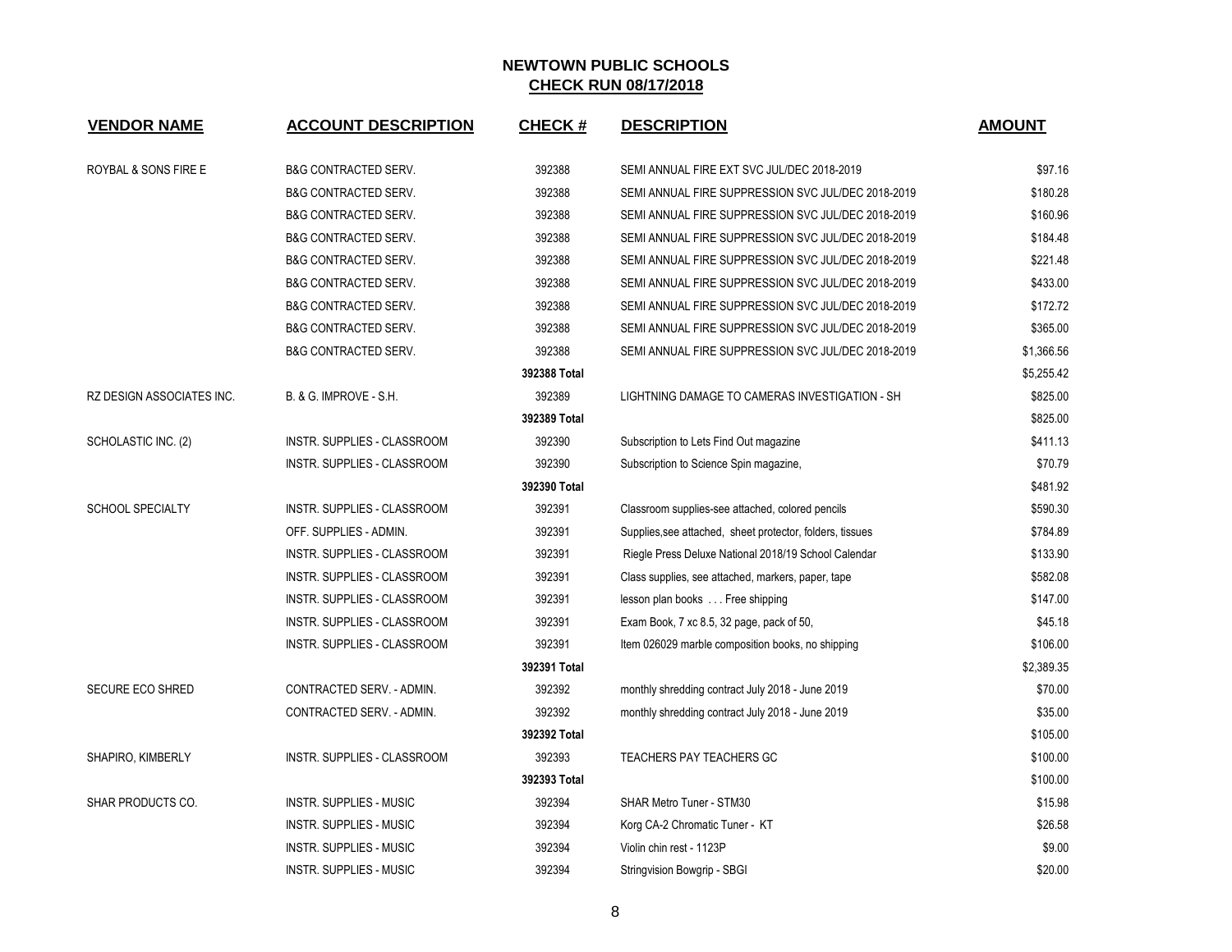| <b>VENDOR NAME</b>        | <b>ACCOUNT DESCRIPTION</b>         | <b>CHECK#</b> | <b>DESCRIPTION</b>                                        | <b>AMOUNT</b> |
|---------------------------|------------------------------------|---------------|-----------------------------------------------------------|---------------|
|                           |                                    |               |                                                           |               |
| ROYBAL & SONS FIRE E      | <b>B&amp;G CONTRACTED SERV.</b>    | 392388        | SEMI ANNUAL FIRE EXT SVC JUL/DEC 2018-2019                | \$97.16       |
|                           | <b>B&amp;G CONTRACTED SERV.</b>    | 392388        | SEMI ANNUAL FIRE SUPPRESSION SVC JUL/DEC 2018-2019        | \$180.28      |
|                           | <b>B&amp;G CONTRACTED SERV.</b>    | 392388        | SEMI ANNUAL FIRE SUPPRESSION SVC JUL/DEC 2018-2019        | \$160.96      |
|                           | <b>B&amp;G CONTRACTED SERV.</b>    | 392388        | SEMI ANNUAL FIRE SUPPRESSION SVC JUL/DEC 2018-2019        | \$184.48      |
|                           | <b>B&amp;G CONTRACTED SERV.</b>    | 392388        | SEMI ANNUAL FIRE SUPPRESSION SVC JUL/DEC 2018-2019        | \$221.48      |
|                           | <b>B&amp;G CONTRACTED SERV.</b>    | 392388        | SEMI ANNUAL FIRE SUPPRESSION SVC JUL/DEC 2018-2019        | \$433.00      |
|                           | <b>B&amp;G CONTRACTED SERV.</b>    | 392388        | SEMI ANNUAL FIRE SUPPRESSION SVC JUL/DEC 2018-2019        | \$172.72      |
|                           | <b>B&amp;G CONTRACTED SERV.</b>    | 392388        | SEMI ANNUAL FIRE SUPPRESSION SVC JUL/DEC 2018-2019        | \$365.00      |
|                           | <b>B&amp;G CONTRACTED SERV.</b>    | 392388        | SEMI ANNUAL FIRE SUPPRESSION SVC JUL/DEC 2018-2019        | \$1,366.56    |
|                           |                                    | 392388 Total  |                                                           | \$5,255.42    |
| RZ DESIGN ASSOCIATES INC. | B. & G. IMPROVE - S.H.             | 392389        | LIGHTNING DAMAGE TO CAMERAS INVESTIGATION - SH            | \$825.00      |
|                           |                                    | 392389 Total  |                                                           | \$825.00      |
| SCHOLASTIC INC. (2)       | <b>INSTR. SUPPLIES - CLASSROOM</b> | 392390        | Subscription to Lets Find Out magazine                    | \$411.13      |
|                           | INSTR. SUPPLIES - CLASSROOM        | 392390        | Subscription to Science Spin magazine,                    | \$70.79       |
|                           |                                    | 392390 Total  |                                                           | \$481.92      |
| SCHOOL SPECIALTY          | INSTR. SUPPLIES - CLASSROOM        | 392391        | Classroom supplies-see attached, colored pencils          | \$590.30      |
|                           | OFF. SUPPLIES - ADMIN.             | 392391        | Supplies, see attached, sheet protector, folders, tissues | \$784.89      |
|                           | INSTR. SUPPLIES - CLASSROOM        | 392391        | Riegle Press Deluxe National 2018/19 School Calendar      | \$133.90      |
|                           | INSTR. SUPPLIES - CLASSROOM        | 392391        | Class supplies, see attached, markers, paper, tape        | \$582.08      |
|                           | INSTR. SUPPLIES - CLASSROOM        | 392391        | lesson plan books Free shipping                           | \$147.00      |
|                           | INSTR. SUPPLIES - CLASSROOM        | 392391        | Exam Book, 7 xc 8.5, 32 page, pack of 50,                 | \$45.18       |
|                           | INSTR. SUPPLIES - CLASSROOM        | 392391        | Item 026029 marble composition books, no shipping         | \$106.00      |
|                           |                                    | 392391 Total  |                                                           | \$2,389.35    |
| <b>SECURE ECO SHRED</b>   | CONTRACTED SERV. - ADMIN.          | 392392        | monthly shredding contract July 2018 - June 2019          | \$70.00       |
|                           | CONTRACTED SERV. - ADMIN.          | 392392        | monthly shredding contract July 2018 - June 2019          | \$35.00       |
|                           |                                    | 392392 Total  |                                                           | \$105.00      |
| SHAPIRO, KIMBERLY         | INSTR. SUPPLIES - CLASSROOM        | 392393        | TEACHERS PAY TEACHERS GC                                  | \$100.00      |
|                           |                                    | 392393 Total  |                                                           | \$100.00      |
| <b>SHAR PRODUCTS CO.</b>  | <b>INSTR. SUPPLIES - MUSIC</b>     | 392394        | <b>SHAR Metro Tuner - STM30</b>                           | \$15.98       |
|                           | <b>INSTR. SUPPLIES - MUSIC</b>     | 392394        | Korg CA-2 Chromatic Tuner - KT                            | \$26.58       |
|                           | <b>INSTR. SUPPLIES - MUSIC</b>     | 392394        | Violin chin rest - 1123P                                  | \$9.00        |
|                           | <b>INSTR. SUPPLIES - MUSIC</b>     | 392394        | Stringvision Bowgrip - SBGI                               | \$20.00       |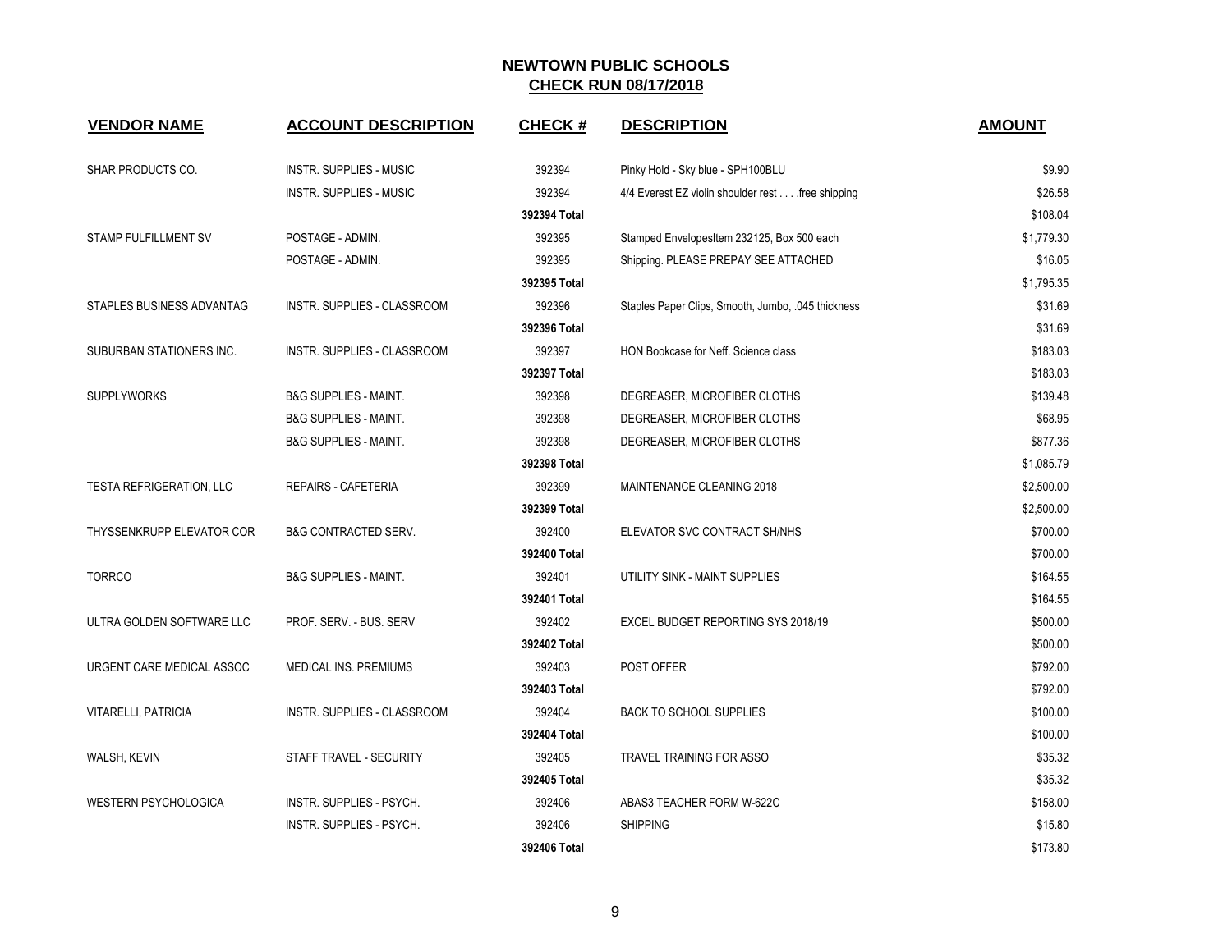| <b>VENDOR NAME</b>              | <b>ACCOUNT DESCRIPTION</b>       | <b>CHECK#</b> | <b>DESCRIPTION</b>                                | <b>AMOUNT</b> |
|---------------------------------|----------------------------------|---------------|---------------------------------------------------|---------------|
| SHAR PRODUCTS CO.               | <b>INSTR. SUPPLIES - MUSIC</b>   | 392394        | Pinky Hold - Sky blue - SPH100BLU                 | \$9.90        |
|                                 | <b>INSTR. SUPPLIES - MUSIC</b>   | 392394        | 4/4 Everest EZ violin shoulder rest free shipping | \$26.58       |
|                                 |                                  | 392394 Total  |                                                   | \$108.04      |
| STAMP FULFILLMENT SV            | POSTAGE - ADMIN.                 | 392395        | Stamped EnvelopesItem 232125, Box 500 each        | \$1,779.30    |
|                                 | POSTAGE - ADMIN.                 | 392395        | Shipping. PLEASE PREPAY SEE ATTACHED              | \$16.05       |
|                                 |                                  | 392395 Total  |                                                   | \$1,795.35    |
| STAPLES BUSINESS ADVANTAG       | INSTR. SUPPLIES - CLASSROOM      | 392396        | Staples Paper Clips, Smooth, Jumbo, 045 thickness | \$31.69       |
|                                 |                                  | 392396 Total  |                                                   | \$31.69       |
| SUBURBAN STATIONERS INC.        | INSTR. SUPPLIES - CLASSROOM      | 392397        | HON Bookcase for Neff. Science class              | \$183.03      |
|                                 |                                  | 392397 Total  |                                                   | \$183.03      |
| <b>SUPPLYWORKS</b>              | <b>B&amp;G SUPPLIES - MAINT.</b> | 392398        | DEGREASER, MICROFIBER CLOTHS                      | \$139.48      |
|                                 | <b>B&amp;G SUPPLIES - MAINT.</b> | 392398        | DEGREASER, MICROFIBER CLOTHS                      | \$68.95       |
|                                 | <b>B&amp;G SUPPLIES - MAINT.</b> | 392398        | DEGREASER, MICROFIBER CLOTHS                      | \$877.36      |
|                                 |                                  | 392398 Total  |                                                   | \$1,085.79    |
| <b>TESTA REFRIGERATION, LLC</b> | REPAIRS - CAFETERIA              | 392399        | <b>MAINTENANCE CLEANING 2018</b>                  | \$2,500.00    |
|                                 |                                  | 392399 Total  |                                                   | \$2,500.00    |
| THYSSENKRUPP ELEVATOR COR       | <b>B&amp;G CONTRACTED SERV.</b>  | 392400        | ELEVATOR SVC CONTRACT SH/NHS                      | \$700.00      |
|                                 |                                  | 392400 Total  |                                                   | \$700.00      |
| <b>TORRCO</b>                   | <b>B&amp;G SUPPLIES - MAINT.</b> | 392401        | UTILITY SINK - MAINT SUPPLIES                     | \$164.55      |
|                                 |                                  | 392401 Total  |                                                   | \$164.55      |
| ULTRA GOLDEN SOFTWARE LLC       | PROF. SERV. - BUS. SERV          | 392402        | EXCEL BUDGET REPORTING SYS 2018/19                | \$500.00      |
|                                 |                                  | 392402 Total  |                                                   | \$500.00      |
| URGENT CARE MEDICAL ASSOC       | <b>MEDICAL INS. PREMIUMS</b>     | 392403        | POST OFFER                                        | \$792.00      |
|                                 |                                  | 392403 Total  |                                                   | \$792.00      |
| VITARELLI, PATRICIA             | INSTR. SUPPLIES - CLASSROOM      | 392404        | <b>BACK TO SCHOOL SUPPLIES</b>                    | \$100.00      |
|                                 |                                  | 392404 Total  |                                                   | \$100.00      |
| WALSH, KEVIN                    | STAFF TRAVEL - SECURITY          | 392405        | <b>TRAVEL TRAINING FOR ASSO</b>                   | \$35.32       |
|                                 |                                  | 392405 Total  |                                                   | \$35.32       |
| <b>WESTERN PSYCHOLOGICA</b>     | INSTR. SUPPLIES - PSYCH.         | 392406        | ABAS3 TEACHER FORM W-622C                         | \$158.00      |
|                                 | <b>INSTR. SUPPLIES - PSYCH.</b>  | 392406        | <b>SHIPPING</b>                                   | \$15.80       |
|                                 |                                  | 392406 Total  |                                                   | \$173.80      |